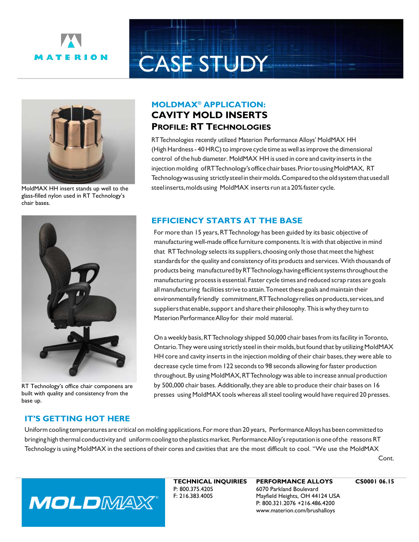

## **CASE STUDY**



MoldMAX HH insert stands up well to the glass-filled nylon used in RT Technology's chair bases.

## **MOLDMAX® APPLICATION: CAVITY MOLD INSERTS PROFILE: RT TECHNOLOGIES**

RTTechnologies recently utilized Materion Performance Alloys' MoldMAX HH (High Hardness - 40 HRC) to improve cycle time as well as improve the dimensional control of the hub diameter. MoldMAX HH is used in core and cavity inserts in the injection molding ofRTTechnology'sofficechairbases.PriortousingMoldMAX, RT Technologywasusing strictlysteelintheirmolds.Comparedtotheoldsystemthatusedall steelinserts, molds using MoldMAX inserts run at a 20% faster cycle.



RT Technology's office chair componens are built with quality and consistency from the base up.

## **EFFICIENCY STARTS AT THE BASE**

For more than 15 years, RTTechnology has been guided by its basic objective of manufacturing well-made office furniture components. It is with that objective in mind that RTTechnology selects its suppliers, choosing only those that meet the highest standards for the quality and consistency of its products and services. With thousands of products being manufacturedbyRTTechnology,havingefficientsystemsthroughoutthe manufacturing processis essential.Faster cycle times and reduced scrap rates are goals all manufacturing facilities strive to attain. To meet these goals and maintain their environmentally friendly commitment,RTTechnologyreliesonproducts,services,and suppliers that enable, support and share their philosophy. This is why they turn to Materion Performance Alloy for their mold material.

On a weekly basis,RTTechnology shipped 50,000 chair basesfrom itsfacility inToronto, Ontario. They were using strictly steel in their molds, but found that by utilizing MoldMAX HH core and cavity inserts in the injection molding of their chair bases,they were able to decrease cycle time from 122 seconds to 98 seconds allowing for faster production throughout. By using MoldMAX, RTTechnology was able to increase annual production by 500,000 chair bases. Additionally,they are able to produce their chair bases on 16 presses using MoldMAX tools whereas allsteel tooling would have required 20 presses.

## **IT'S GETTING HOT HERE**

Uniform cooling temperatures are critical on molding applications. For more than 20 years, Performance Alloys has been committed to bringing high thermal conductivity and uniform cooling to the plastics market. Performance Alloy's reputation is one of the reasons RT Technology is using MoldMAX in the sections of their cores and cavities that are the most difficult to cool. "We use the MoldMAX

Cont.



**TECHNICAL INQUIRIES** P: 800.375.4205 F: 216.383.4005

**PERFORMANCE ALLOYS** 6070 Parkland Boulevard Mayfield Heights, OH 44124 USA P: 800.321.2076 +216.486.4200 www.materion.com/brushalloys

**CS0001 06.15**